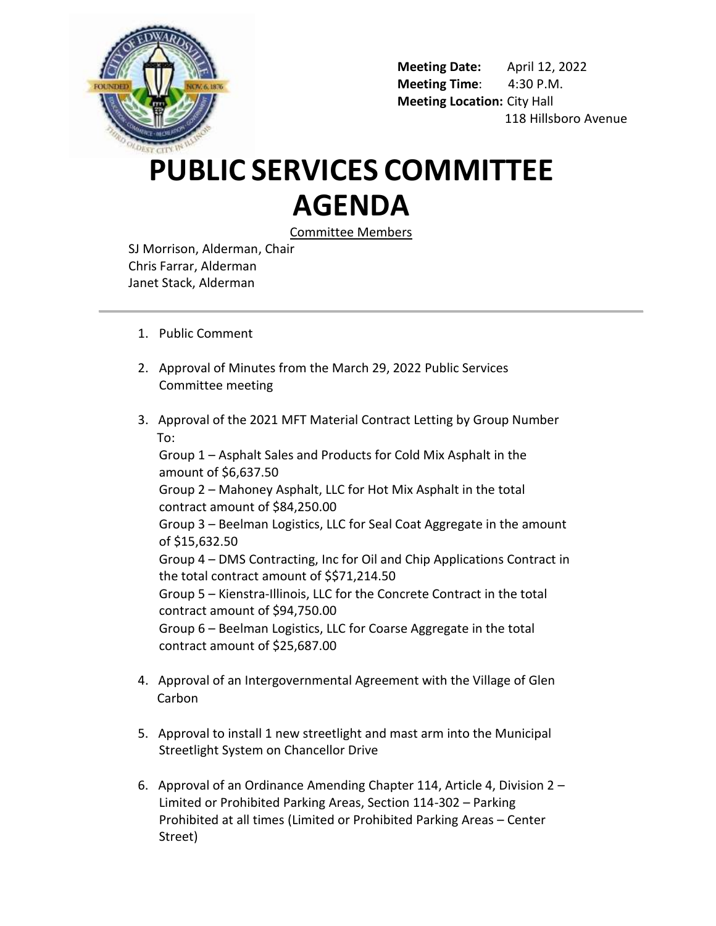

**Meeting Date:** April 12, 2022 **Meeting Time**: 4:30 P.M. **Meeting Location:** City Hall 118 Hillsboro Avenue

## **PUBLIC SERVICES COMMITTEE AGENDA**

Committee Members

SJ Morrison, Alderman, Chair Chris Farrar, Alderman Janet Stack, Alderman

- 1. Public Comment
- 2. Approval of Minutes from the March 29, 2022 Public Services Committee meeting
- 3. Approval of the 2021 MFT Material Contract Letting by Group Number To:

Group 1 – Asphalt Sales and Products for Cold Mix Asphalt in the amount of \$6,637.50 Group 2 – Mahoney Asphalt, LLC for Hot Mix Asphalt in the total contract amount of \$84,250.00 Group 3 – Beelman Logistics, LLC for Seal Coat Aggregate in the amount of \$15,632.50 Group 4 – DMS Contracting, Inc for Oil and Chip Applications Contract in the total contract amount of \$\$71,214.50 Group 5 – Kienstra-Illinois, LLC for the Concrete Contract in the total contract amount of \$94,750.00 Group 6 – Beelman Logistics, LLC for Coarse Aggregate in the total contract amount of \$25,687.00

- 4. Approval of an Intergovernmental Agreement with the Village of Glen **Carbon**
- 5. Approval to install 1 new streetlight and mast arm into the Municipal Streetlight System on Chancellor Drive
- 6. Approval of an Ordinance Amending Chapter 114, Article 4, Division 2 Limited or Prohibited Parking Areas, Section 114-302 – Parking Prohibited at all times (Limited or Prohibited Parking Areas – Center Street)